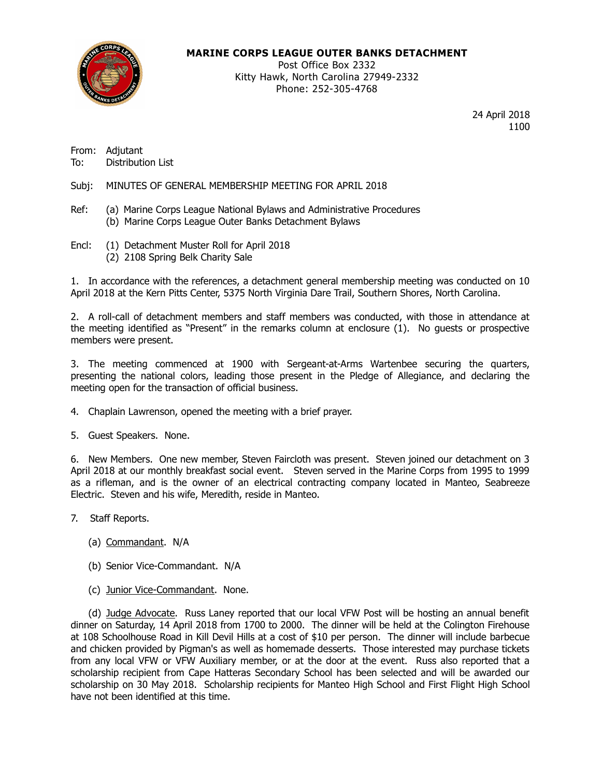

#### **MARINE CORPS LEAGUE OUTER BANKS DETACHMENT**

Post Office Box 2332 Kitty Hawk, North Carolina 27949-2332 Phone: 252-305-4768

> 24 April 2018 1100

From: Adjutant<br>To: Distributi Distribution List

Subj: MINUTES OF GENERAL MEMBERSHIP MEETING FOR APRIL 2018

- Ref: (a) Marine Corps League National Bylaws and Administrative Procedures (b) Marine Corps League Outer Banks Detachment Bylaws
- Encl: (1) Detachment Muster Roll for April 2018 (2) 2108 Spring Belk Charity Sale

1. In accordance with the references, a detachment general membership meeting was conducted on 10 April 2018 at the Kern Pitts Center, 5375 North Virginia Dare Trail, Southern Shores, North Carolina.

2. A roll-call of detachment members and staff members was conducted, with those in attendance at the meeting identified as "Present" in the remarks column at enclosure (1). No guests or prospective members were present.

3. The meeting commenced at 1900 with Sergeant-at-Arms Wartenbee securing the quarters, presenting the national colors, leading those present in the Pledge of Allegiance, and declaring the meeting open for the transaction of official business.

4. Chaplain Lawrenson, opened the meeting with a brief prayer.

5. Guest Speakers. None.

6. New Members. One new member, Steven Faircloth was present. Steven joined our detachment on 3 April 2018 at our monthly breakfast social event. Steven served in the Marine Corps from 1995 to 1999 as a rifleman, and is the owner of an electrical contracting company located in Manteo, Seabreeze Electric. Steven and his wife, Meredith, reside in Manteo.

- 7. Staff Reports.
	- (a) Commandant. N/A
	- (b) Senior Vice-Commandant. N/A
	- (c) Junior Vice-Commandant. None.

(d) Judge Advocate. Russ Laney reported that our local VFW Post will be hosting an annual benefit dinner on Saturday, 14 April 2018 from 1700 to 2000. The dinner will be held at the Colington Firehouse at 108 Schoolhouse Road in Kill Devil Hills at a cost of \$10 per person. The dinner will include barbecue and chicken provided by Pigman's as well as homemade desserts. Those interested may purchase tickets from any local VFW or VFW Auxiliary member, or at the door at the event. Russ also reported that a scholarship recipient from Cape Hatteras Secondary School has been selected and will be awarded our scholarship on 30 May 2018. Scholarship recipients for Manteo High School and First Flight High School have not been identified at this time.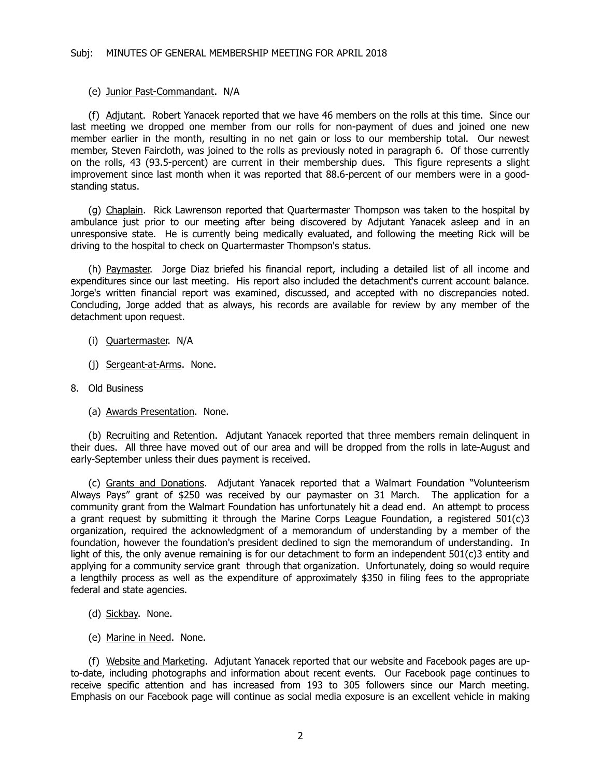#### (e) Junior Past-Commandant. N/A

(f) Adjutant. Robert Yanacek reported that we have 46 members on the rolls at this time. Since our last meeting we dropped one member from our rolls for non-payment of dues and joined one new member earlier in the month, resulting in no net gain or loss to our membership total. Our newest member, Steven Faircloth, was joined to the rolls as previously noted in paragraph 6. Of those currently on the rolls, 43 (93.5-percent) are current in their membership dues. This figure represents a slight improvement since last month when it was reported that 88.6-percent of our members were in a goodstanding status.

(g) Chaplain. Rick Lawrenson reported that Quartermaster Thompson was taken to the hospital by ambulance just prior to our meeting after being discovered by Adjutant Yanacek asleep and in an unresponsive state. He is currently being medically evaluated, and following the meeting Rick will be driving to the hospital to check on Quartermaster Thompson's status.

(h) Paymaster. Jorge Diaz briefed his financial report, including a detailed list of all income and expenditures since our last meeting. His report also included the detachment's current account balance. Jorge's written financial report was examined, discussed, and accepted with no discrepancies noted. Concluding, Jorge added that as always, his records are available for review by any member of the detachment upon request.

- (i) Quartermaster. N/A
- (j) Sergeant-at-Arms. None.
- 8. Old Business
	- (a) Awards Presentation. None.

(b) Recruiting and Retention. Adjutant Yanacek reported that three members remain delinquent in their dues. All three have moved out of our area and will be dropped from the rolls in late-August and early-September unless their dues payment is received.

(c) Grants and Donations. Adjutant Yanacek reported that a Walmart Foundation "Volunteerism Always Pays" grant of \$250 was received by our paymaster on 31 March. The application for a community grant from the Walmart Foundation has unfortunately hit a dead end. An attempt to process a grant request by submitting it through the Marine Corps League Foundation, a registered  $501(c)3$ organization, required the acknowledgment of a memorandum of understanding by a member of the foundation, however the foundation's president declined to sign the memorandum of understanding. In light of this, the only avenue remaining is for our detachment to form an independent 501(c)3 entity and applying for a community service grant through that organization. Unfortunately, doing so would require a lengthily process as well as the expenditure of approximately \$350 in filing fees to the appropriate federal and state agencies.

- (d) Sickbay. None.
- (e) Marine in Need. None.

(f) Website and Marketing. Adjutant Yanacek reported that our website and Facebook pages are upto-date, including photographs and information about recent events. Our Facebook page continues to receive specific attention and has increased from 193 to 305 followers since our March meeting. Emphasis on our Facebook page will continue as social media exposure is an excellent vehicle in making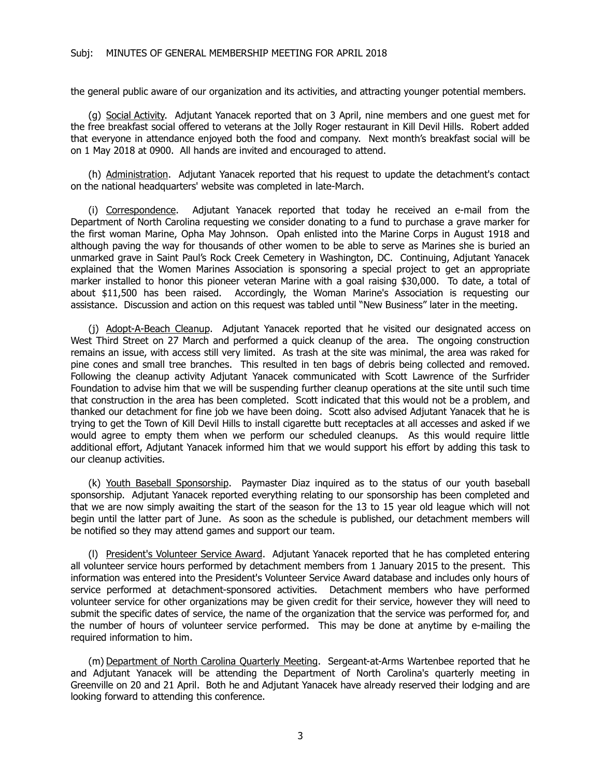the general public aware of our organization and its activities, and attracting younger potential members.

(g) Social Activity. Adjutant Yanacek reported that on 3 April, nine members and one guest met for the free breakfast social offered to veterans at the Jolly Roger restaurant in Kill Devil Hills. Robert added that everyone in attendance enjoyed both the food and company. Next month's breakfast social will be on 1 May 2018 at 0900. All hands are invited and encouraged to attend.

(h) Administration. Adjutant Yanacek reported that his request to update the detachment's contact on the national headquarters' website was completed in late-March.

(i) Correspondence. Adjutant Yanacek reported that today he received an e-mail from the Department of North Carolina requesting we consider donating to a fund to purchase a grave marker for the first woman Marine, Opha May Johnson. Opah enlisted into the Marine Corps in August 1918 and although paving the way for thousands of other women to be able to serve as Marines she is buried an unmarked grave in Saint Paul's Rock Creek Cemetery in Washington, DC. Continuing, Adjutant Yanacek explained that the Women Marines Association is sponsoring a special project to get an appropriate marker installed to honor this pioneer veteran Marine with a goal raising \$30,000. To date, a total of about \$11,500 has been raised. Accordingly, the Woman Marine's Association is requesting our assistance. Discussion and action on this request was tabled until "New Business" later in the meeting.

(j) Adopt-A-Beach Cleanup. Adjutant Yanacek reported that he visited our designated access on West Third Street on 27 March and performed a quick cleanup of the area. The ongoing construction remains an issue, with access still very limited. As trash at the site was minimal, the area was raked for pine cones and small tree branches. This resulted in ten bags of debris being collected and removed. Following the cleanup activity Adjutant Yanacek communicated with Scott Lawrence of the Surfrider Foundation to advise him that we will be suspending further cleanup operations at the site until such time that construction in the area has been completed. Scott indicated that this would not be a problem, and thanked our detachment for fine job we have been doing. Scott also advised Adjutant Yanacek that he is trying to get the Town of Kill Devil Hills to install cigarette butt receptacles at all accesses and asked if we would agree to empty them when we perform our scheduled cleanups. As this would require little additional effort, Adjutant Yanacek informed him that we would support his effort by adding this task to our cleanup activities.

(k) Youth Baseball Sponsorship. Paymaster Diaz inquired as to the status of our youth baseball sponsorship. Adjutant Yanacek reported everything relating to our sponsorship has been completed and that we are now simply awaiting the start of the season for the 13 to 15 year old league which will not begin until the latter part of June. As soon as the schedule is published, our detachment members will be notified so they may attend games and support our team.

(l) President's Volunteer Service Award. Adjutant Yanacek reported that he has completed entering all volunteer service hours performed by detachment members from 1 January 2015 to the present. This information was entered into the President's Volunteer Service Award database and includes only hours of service performed at detachment-sponsored activities. Detachment members who have performed volunteer service for other organizations may be given credit for their service, however they will need to submit the specific dates of service, the name of the organization that the service was performed for, and the number of hours of volunteer service performed. This may be done at anytime by e-mailing the required information to him.

(m) Department of North Carolina Quarterly Meeting. Sergeant-at-Arms Wartenbee reported that he and Adjutant Yanacek will be attending the Department of North Carolina's quarterly meeting in Greenville on 20 and 21 April. Both he and Adjutant Yanacek have already reserved their lodging and are looking forward to attending this conference.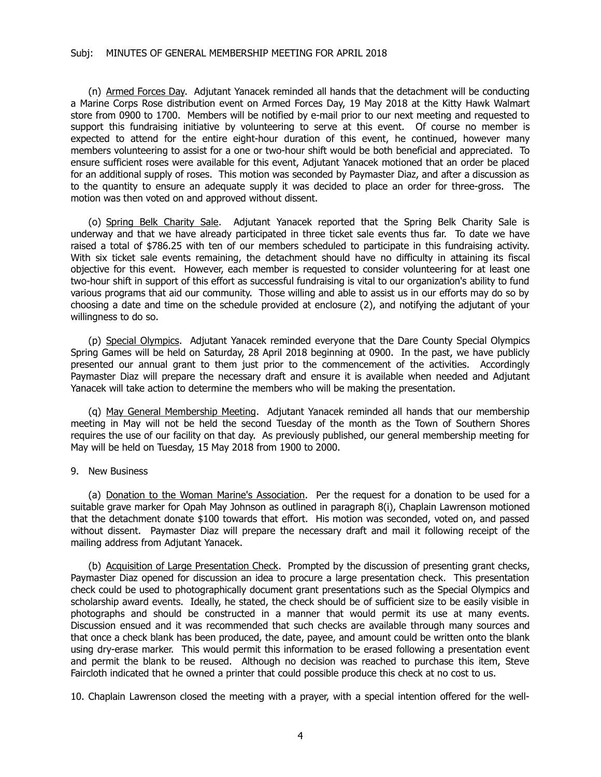(n) Armed Forces Day. Adjutant Yanacek reminded all hands that the detachment will be conducting a Marine Corps Rose distribution event on Armed Forces Day, 19 May 2018 at the Kitty Hawk Walmart store from 0900 to 1700. Members will be notified by e-mail prior to our next meeting and requested to support this fundraising initiative by volunteering to serve at this event. Of course no member is expected to attend for the entire eight-hour duration of this event, he continued, however many members volunteering to assist for a one or two-hour shift would be both beneficial and appreciated. To ensure sufficient roses were available for this event, Adjutant Yanacek motioned that an order be placed for an additional supply of roses. This motion was seconded by Paymaster Diaz, and after a discussion as to the quantity to ensure an adequate supply it was decided to place an order for three-gross. The motion was then voted on and approved without dissent.

(o) Spring Belk Charity Sale. Adjutant Yanacek reported that the Spring Belk Charity Sale is underway and that we have already participated in three ticket sale events thus far. To date we have raised a total of \$786.25 with ten of our members scheduled to participate in this fundraising activity. With six ticket sale events remaining, the detachment should have no difficulty in attaining its fiscal objective for this event. However, each member is requested to consider volunteering for at least one two-hour shift in support of this effort as successful fundraising is vital to our organization's ability to fund various programs that aid our community. Those willing and able to assist us in our efforts may do so by choosing a date and time on the schedule provided at enclosure (2), and notifying the adjutant of your willingness to do so.

(p) Special Olympics. Adjutant Yanacek reminded everyone that the Dare County Special Olympics Spring Games will be held on Saturday, 28 April 2018 beginning at 0900. In the past, we have publicly presented our annual grant to them just prior to the commencement of the activities. Accordingly Paymaster Diaz will prepare the necessary draft and ensure it is available when needed and Adjutant Yanacek will take action to determine the members who will be making the presentation.

(q) May General Membership Meeting. Adjutant Yanacek reminded all hands that our membership meeting in May will not be held the second Tuesday of the month as the Town of Southern Shores requires the use of our facility on that day. As previously published, our general membership meeting for May will be held on Tuesday, 15 May 2018 from 1900 to 2000.

#### 9. New Business

(a) Donation to the Woman Marine's Association. Per the request for a donation to be used for a suitable grave marker for Opah May Johnson as outlined in paragraph 8(i), Chaplain Lawrenson motioned that the detachment donate \$100 towards that effort. His motion was seconded, voted on, and passed without dissent. Paymaster Diaz will prepare the necessary draft and mail it following receipt of the mailing address from Adjutant Yanacek.

(b) Acquisition of Large Presentation Check. Prompted by the discussion of presenting grant checks, Paymaster Diaz opened for discussion an idea to procure a large presentation check. This presentation check could be used to photographically document grant presentations such as the Special Olympics and scholarship award events. Ideally, he stated, the check should be of sufficient size to be easily visible in photographs and should be constructed in a manner that would permit its use at many events. Discussion ensued and it was recommended that such checks are available through many sources and that once a check blank has been produced, the date, payee, and amount could be written onto the blank using dry-erase marker. This would permit this information to be erased following a presentation event and permit the blank to be reused. Although no decision was reached to purchase this item, Steve Faircloth indicated that he owned a printer that could possible produce this check at no cost to us.

10. Chaplain Lawrenson closed the meeting with a prayer, with a special intention offered for the well-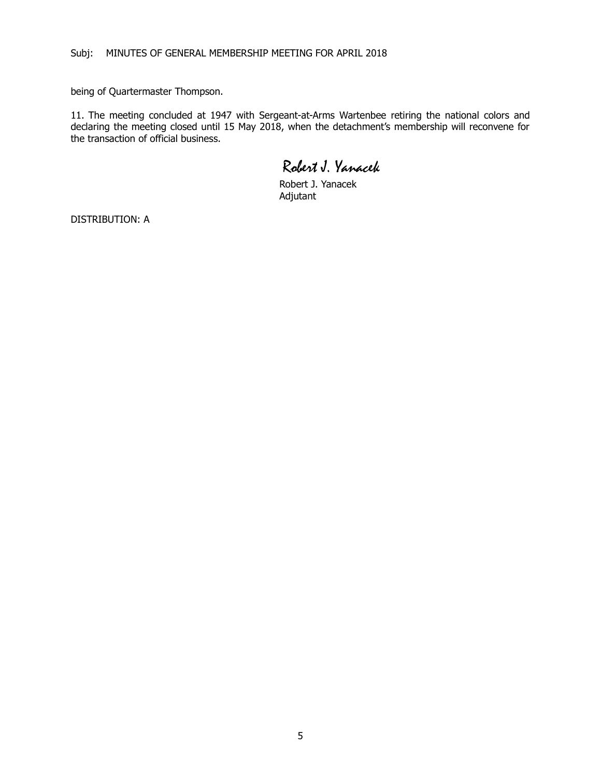being of Quartermaster Thompson.

11. The meeting concluded at 1947 with Sergeant-at-Arms Wartenbee retiring the national colors and declaring the meeting closed until 15 May 2018, when the detachment's membership will reconvene for the transaction of official business.

Robert J. Yanacek

Robert J. Yanacek Adjutant

DISTRIBUTION: A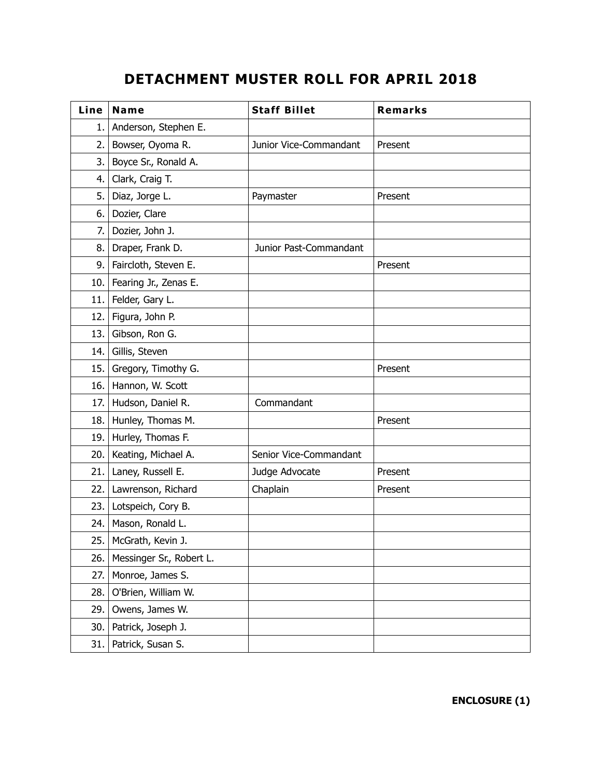# **DETACHMENT MUSTER ROLL FOR APRIL 2018**

| Line | Name                     | <b>Staff Billet</b>    | <b>Remarks</b> |
|------|--------------------------|------------------------|----------------|
| 1.   | Anderson, Stephen E.     |                        |                |
| 2.   | Bowser, Oyoma R.         | Junior Vice-Commandant | Present        |
| 3.   | Boyce Sr., Ronald A.     |                        |                |
| 4.   | Clark, Craig T.          |                        |                |
| 5.   | Diaz, Jorge L.           | Paymaster              | Present        |
| 6.   | Dozier, Clare            |                        |                |
| 7.   | Dozier, John J.          |                        |                |
| 8.   | Draper, Frank D.         | Junior Past-Commandant |                |
| 9.   | Faircloth, Steven E.     |                        | Present        |
| 10.  | Fearing Jr., Zenas E.    |                        |                |
| 11.  | Felder, Gary L.          |                        |                |
| 12.  | Figura, John P.          |                        |                |
| 13.  | Gibson, Ron G.           |                        |                |
| 14.  | Gillis, Steven           |                        |                |
| 15.  | Gregory, Timothy G.      |                        | Present        |
| 16.  | Hannon, W. Scott         |                        |                |
| 17.  | Hudson, Daniel R.        | Commandant             |                |
| 18.  | Hunley, Thomas M.        |                        | Present        |
| 19.  | Hurley, Thomas F.        |                        |                |
| 20.  | Keating, Michael A.      | Senior Vice-Commandant |                |
| 21.  | Laney, Russell E.        | Judge Advocate         | Present        |
| 22.  | Lawrenson, Richard       | Chaplain               | Present        |
| 23.  | Lotspeich, Cory B.       |                        |                |
| 24.  | Mason, Ronald L.         |                        |                |
| 25.  | McGrath, Kevin J.        |                        |                |
| 26.  | Messinger Sr., Robert L. |                        |                |
| 27.  | Monroe, James S.         |                        |                |
| 28.  | O'Brien, William W.      |                        |                |
| 29.  | Owens, James W.          |                        |                |
| 30.  | Patrick, Joseph J.       |                        |                |
| 31.  | Patrick, Susan S.        |                        |                |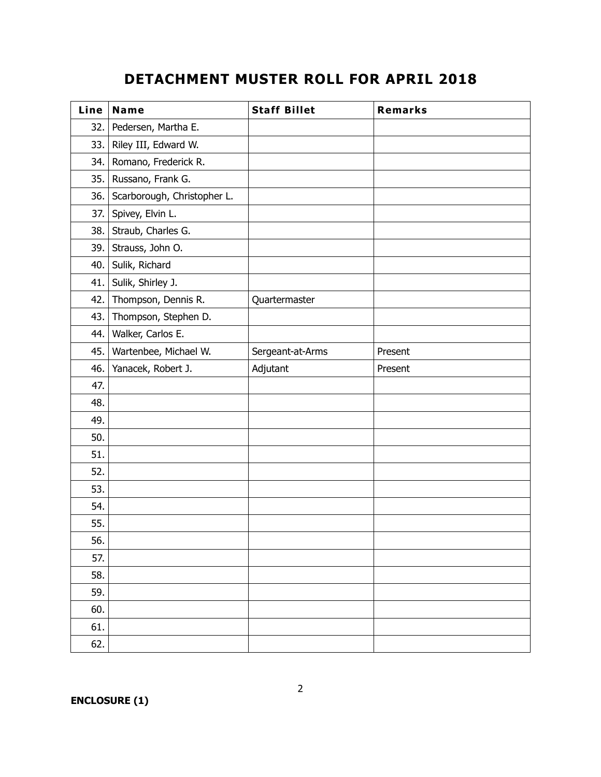## **DETACHMENT MUSTER ROLL FOR APRIL 2018**

| Line | Name                        | <b>Staff Billet</b> | Remarks |
|------|-----------------------------|---------------------|---------|
| 32.  | Pedersen, Martha E.         |                     |         |
| 33.  | Riley III, Edward W.        |                     |         |
| 34.  | Romano, Frederick R.        |                     |         |
| 35.  | Russano, Frank G.           |                     |         |
| 36.  | Scarborough, Christopher L. |                     |         |
| 37.  | Spivey, Elvin L.            |                     |         |
| 38.  | Straub, Charles G.          |                     |         |
| 39.  | Strauss, John O.            |                     |         |
| 40.  | Sulik, Richard              |                     |         |
| 41.  | Sulik, Shirley J.           |                     |         |
| 42.  | Thompson, Dennis R.         | Quartermaster       |         |
| 43.  | Thompson, Stephen D.        |                     |         |
| 44.  | Walker, Carlos E.           |                     |         |
| 45.  | Wartenbee, Michael W.       | Sergeant-at-Arms    | Present |
| 46.  | Yanacek, Robert J.          | Adjutant            | Present |
| 47.  |                             |                     |         |
| 48.  |                             |                     |         |
| 49.  |                             |                     |         |
| 50.  |                             |                     |         |
| 51.  |                             |                     |         |
| 52.  |                             |                     |         |
| 53.  |                             |                     |         |
| 54.  |                             |                     |         |
| 55.  |                             |                     |         |
| 56.  |                             |                     |         |
| 57.  |                             |                     |         |
| 58.  |                             |                     |         |
| 59.  |                             |                     |         |
| 60.  |                             |                     |         |
| 61.  |                             |                     |         |
| 62.  |                             |                     |         |